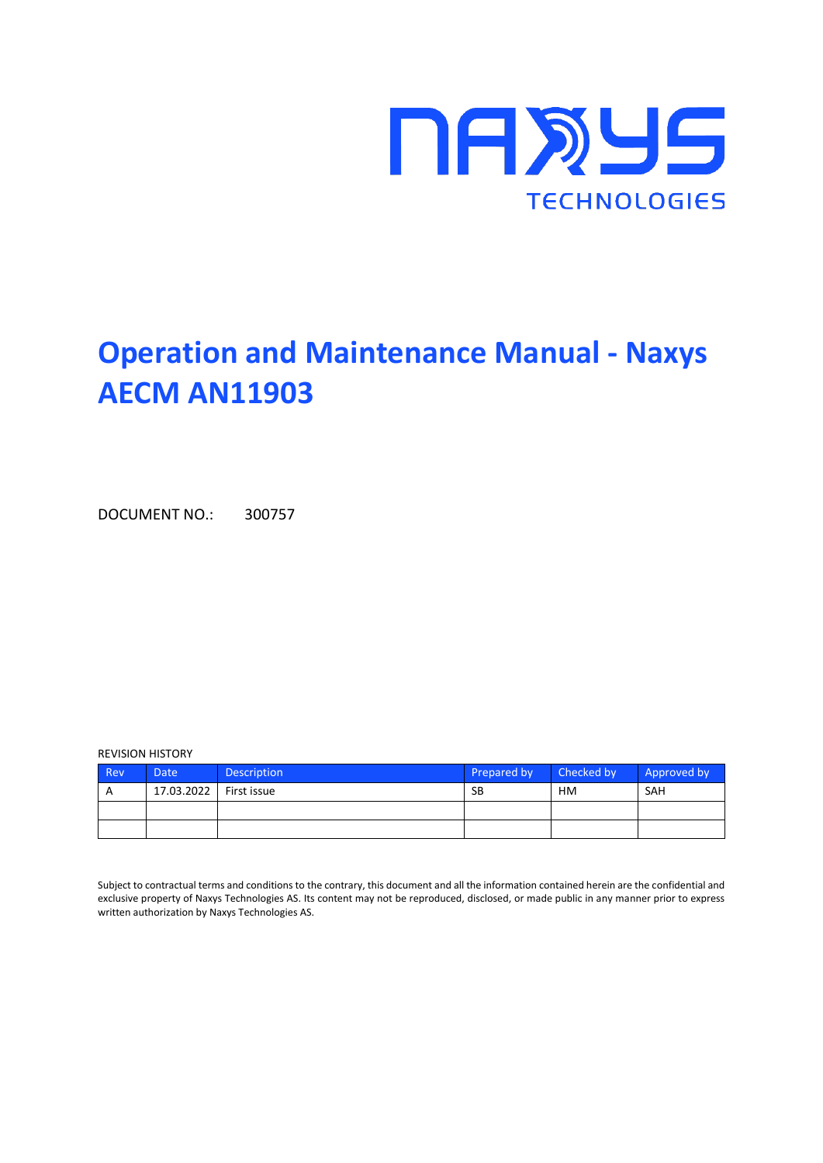

# **Operation and Maintenance Manual - Naxys AECM AN11903**

DOCUMENT NO.: 300757

#### REVISION HISTORY

| Rev | Date       | <b>Description</b> | Prepared by | Checked by | Approved by |
|-----|------------|--------------------|-------------|------------|-------------|
| A   | 17.03.2022 | First issue        | SB          | <b>HM</b>  | SAH         |
|     |            |                    |             |            |             |
|     |            |                    |             |            |             |

Subject to contractual terms and conditions to the contrary, this document and all the information contained herein are the confidential and exclusive property of Naxys Technologies AS. Its content may not be reproduced, disclosed, or made public in any manner prior to express written authorization by Naxys Technologies AS.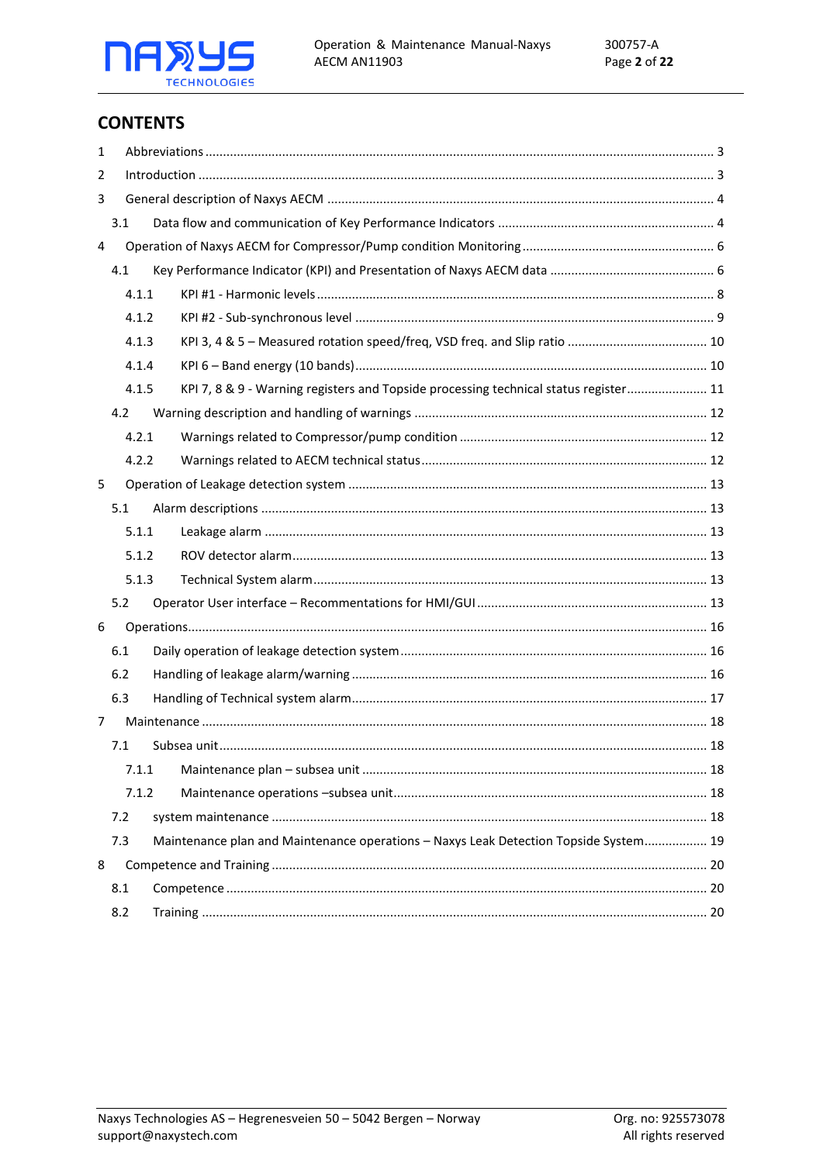

# **CONTENTS**

| 1 |     |       |                                                                                      |  |
|---|-----|-------|--------------------------------------------------------------------------------------|--|
| 2 |     |       |                                                                                      |  |
| 3 |     |       |                                                                                      |  |
|   | 3.1 |       |                                                                                      |  |
| 4 |     |       |                                                                                      |  |
|   | 4.1 |       |                                                                                      |  |
|   |     | 4.1.1 |                                                                                      |  |
|   |     | 4.1.2 |                                                                                      |  |
|   |     | 4.1.3 |                                                                                      |  |
|   |     | 4.1.4 |                                                                                      |  |
|   |     | 4.1.5 | KPI 7, 8 & 9 - Warning registers and Topside processing technical status register 11 |  |
|   | 4.2 |       |                                                                                      |  |
|   |     | 4.2.1 |                                                                                      |  |
|   |     | 4.2.2 |                                                                                      |  |
| 5 |     |       |                                                                                      |  |
|   | 5.1 |       |                                                                                      |  |
|   |     | 5.1.1 |                                                                                      |  |
|   |     | 5.1.2 |                                                                                      |  |
|   |     | 5.1.3 |                                                                                      |  |
|   | 5.2 |       |                                                                                      |  |
| 6 |     |       |                                                                                      |  |
|   | 6.1 |       |                                                                                      |  |
|   | 6.2 |       |                                                                                      |  |
|   | 6.3 |       |                                                                                      |  |
| 7 |     |       |                                                                                      |  |
|   | 7.1 |       |                                                                                      |  |
|   |     | 7.1.1 |                                                                                      |  |
|   |     | 7.1.2 |                                                                                      |  |
|   | 7.2 |       |                                                                                      |  |
|   | 7.3 |       | Maintenance plan and Maintenance operations - Naxys Leak Detection Topside System 19 |  |
| 8 |     |       |                                                                                      |  |
|   | 8.1 |       |                                                                                      |  |
|   | 8.2 |       |                                                                                      |  |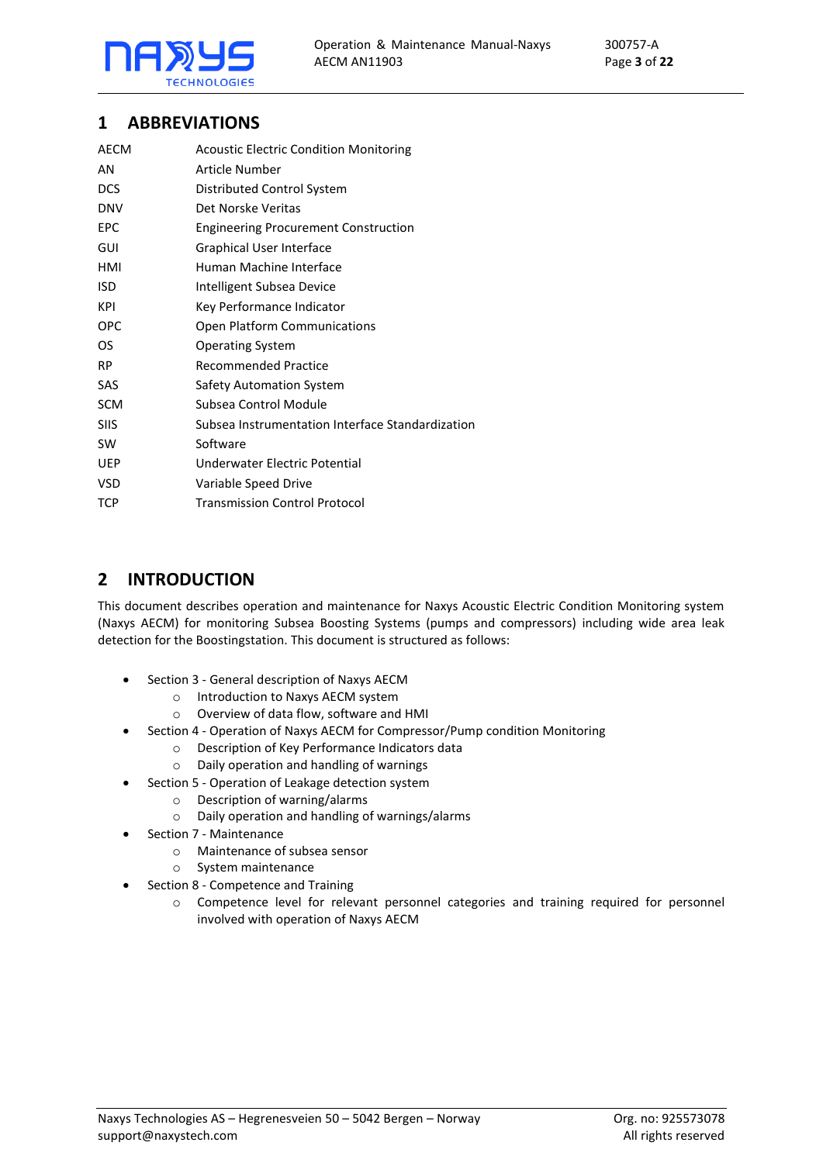

# <span id="page-2-0"></span>**1 ABBREVIATIONS**

| AECM        | <b>Acoustic Electric Condition Monitoring</b>    |
|-------------|--------------------------------------------------|
| AN          | Article Number                                   |
| <b>DCS</b>  | Distributed Control System                       |
| <b>DNV</b>  | Det Norske Veritas                               |
| <b>EPC</b>  | <b>Engineering Procurement Construction</b>      |
| GUI         | Graphical User Interface                         |
| HMI         | Human Machine Interface                          |
| <b>ISD</b>  | Intelligent Subsea Device                        |
| KPI         | Key Performance Indicator                        |
| <b>OPC</b>  | <b>Open Platform Communications</b>              |
| OS          | <b>Operating System</b>                          |
| <b>RP</b>   | <b>Recommended Practice</b>                      |
| SAS         | <b>Safety Automation System</b>                  |
| <b>SCM</b>  | Subsea Control Module                            |
| <b>SIIS</b> | Subsea Instrumentation Interface Standardization |
| <b>SW</b>   | Software                                         |
| <b>UEP</b>  | Underwater Electric Potential                    |
| VSD         | Variable Speed Drive                             |
| <b>TCP</b>  | <b>Transmission Control Protocol</b>             |

# <span id="page-2-1"></span>**2 INTRODUCTION**

This document describes operation and maintenance for Naxys Acoustic Electric Condition Monitoring system (Naxys AECM) for monitoring Subsea Boosting Systems (pumps and compressors) including wide area leak detection for the Boostingstation. This document is structured as follows:

- Section [3](#page-3-0) [General description of Naxys AECM](#page-3-0)
	- o Introduction to Naxys AECM system
	- o Overview of data flow, software and HMI
- Section [4](#page-5-0) [Operation of Naxys AECM for Compressor/Pump](#page-5-0) condition Monitoring
	- o Description of Key Performance Indicators data
	- o Daily operation and handling of warnings
- Section [5](#page-13-0) [Operation of Leakage detection system](#page-13-0)
	- o Description of warning/alarms
	- o Daily operation and handling of warnings/alarms
- Section [7](#page-18-0) [Maintenance](#page-18-0)
	- o Maintenance of subsea sensor
	- o System maintenance
- Section [8](#page-20-0) [Competence and Training](#page-20-0)
	- o Competence level for relevant personnel categories and training required for personnel involved with operation of Naxys AECM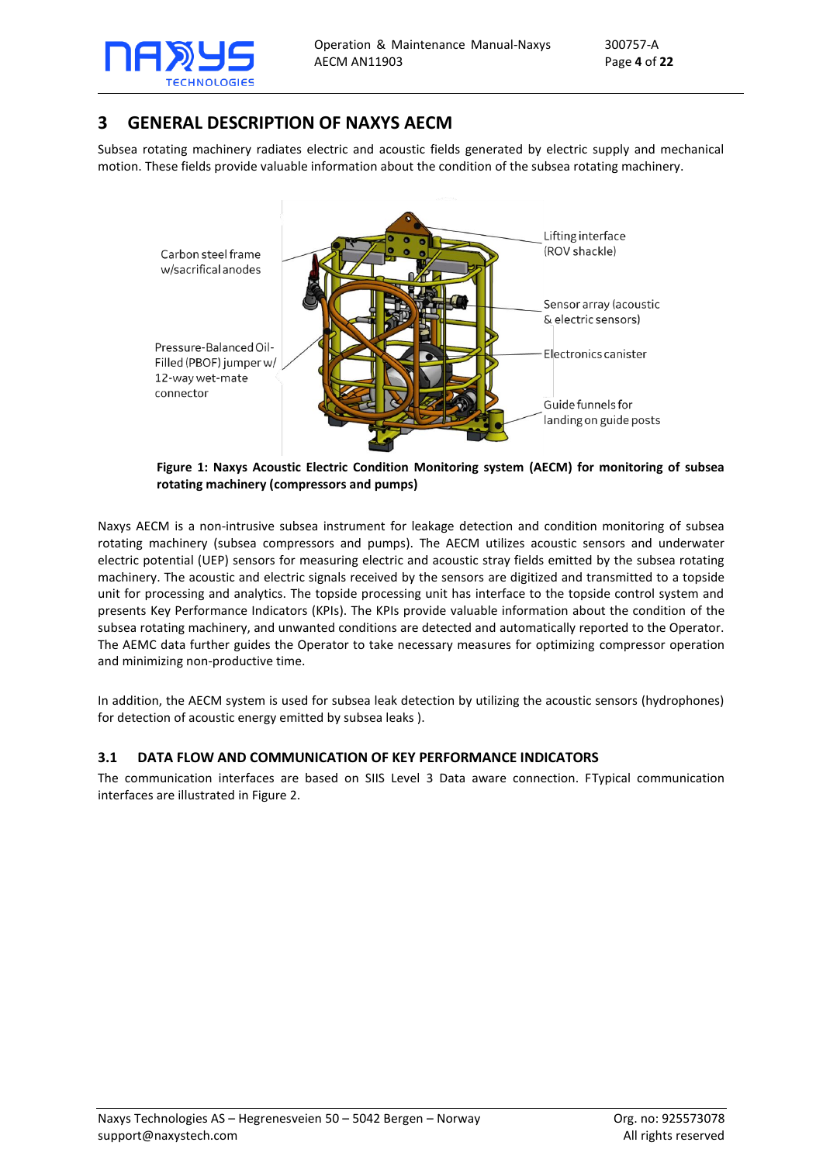

# <span id="page-3-0"></span>**3 GENERAL DESCRIPTION OF NAXYS AECM**

Subsea rotating machinery radiates electric and acoustic fields generated by electric supply and mechanical motion. These fields provide valuable information about the condition of the subsea rotating machinery.



**Figure 1: Naxys Acoustic Electric Condition Monitoring system (AECM) for monitoring of subsea rotating machinery (compressors and pumps)**

Naxys AECM is a non-intrusive subsea instrument for leakage detection and condition monitoring of subsea rotating machinery (subsea compressors and pumps). The AECM utilizes acoustic sensors and underwater electric potential (UEP) sensors for measuring electric and acoustic stray fields emitted by the subsea rotating machinery. The acoustic and electric signals received by the sensors are digitized and transmitted to a topside unit for processing and analytics. The topside processing unit has interface to the topside control system and presents Key Performance Indicators (KPIs). The KPIs provide valuable information about the condition of the subsea rotating machinery, and unwanted conditions are detected and automatically reported to the Operator. The AEMC data further guides the Operator to take necessary measures for optimizing compressor operation and minimizing non-productive time.

In addition, the AECM system is used for subsea leak detection by utilizing the acoustic sensors (hydrophones) for detection of acoustic energy emitted by subsea leaks ).

## <span id="page-3-1"></span>**3.1 DATA FLOW AND COMMUNICATION OF KEY PERFORMANCE INDICATORS**

The communication interfaces are based on SIIS Level 3 Data aware connection. FTypical communication interfaces are illustrated in [Figure 2.](#page-4-0)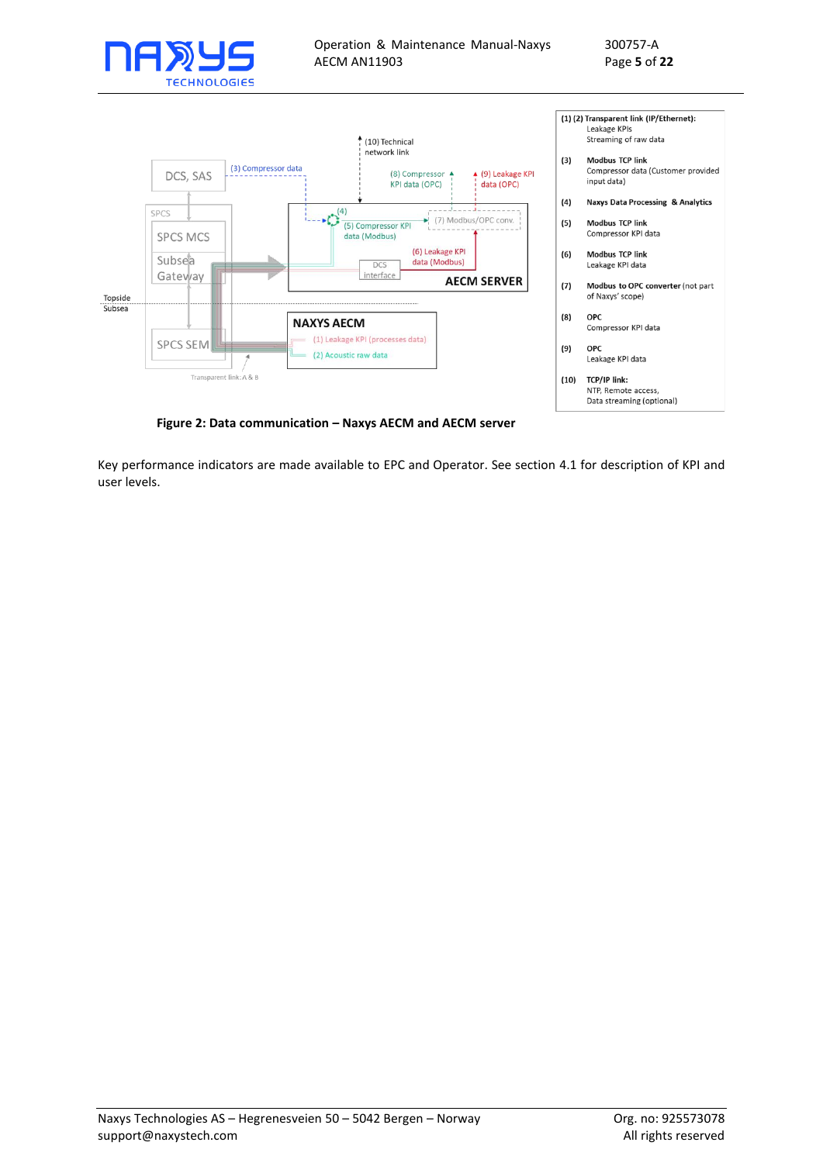



**Figure 2: Data communication – Naxys AECM and AECM server**

<span id="page-4-0"></span>Key performance indicators are made available to EPC and Operator. See section [4.1](#page-5-1) for description of KPI and user levels.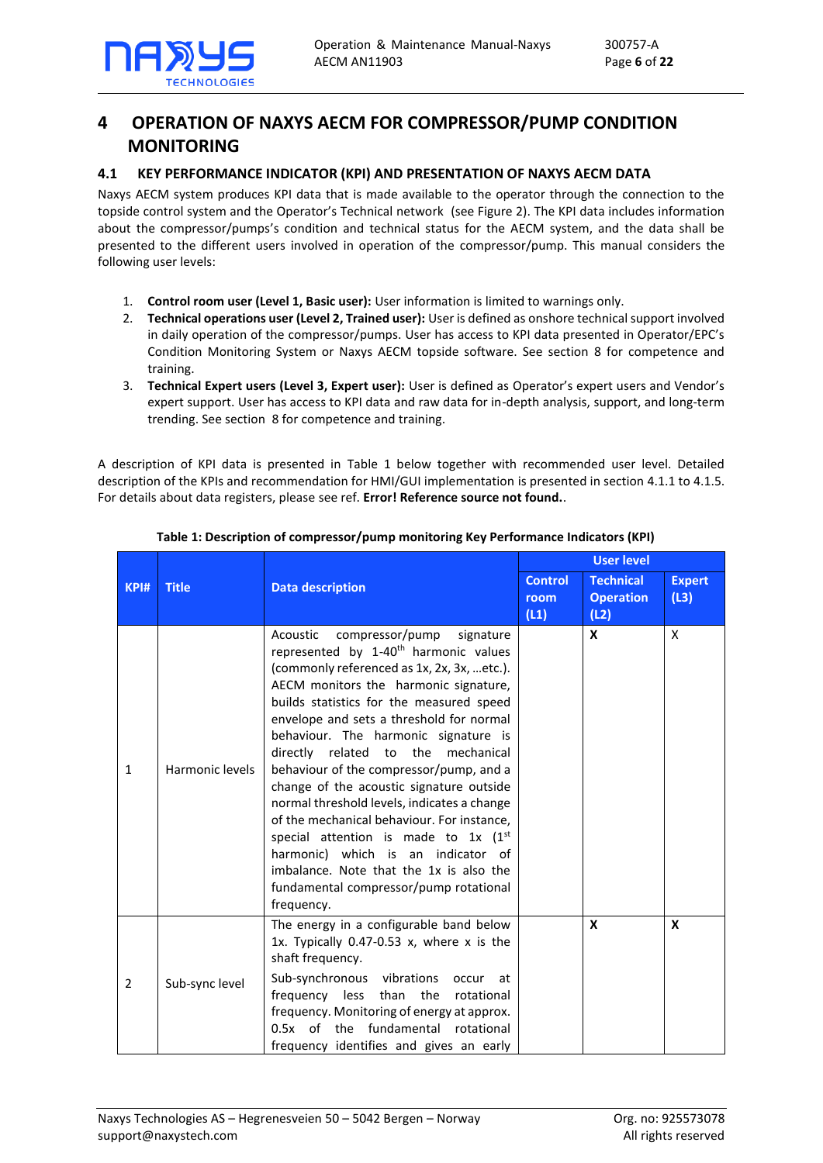# <span id="page-5-0"></span>**4 OPERATION OF NAXYS AECM FOR COMPRESSOR/PUMP CONDITION MONITORING**

## <span id="page-5-1"></span>**4.1 KEY PERFORMANCE INDICATOR (KPI) AND PRESENTATION OF NAXYS AECM DATA**

Naxys AECM system produces KPI data that is made available to the operator through the connection to the topside control system and the Operator's Technical network (se[e Figure 2\)](#page-4-0). The KPI data includes information about the compressor/pumps's condition and technical status for the AECM system, and the data shall be presented to the different users involved in operation of the compressor/pump. This manual considers the following user levels:

- 1. **Control room user (Level 1, Basic user):** User information is limited to warnings only.
- 2. **Technical operations user (Level 2, Trained user):** User is defined as onshore technical support involved in daily operation of the compressor/pumps. User has access to KPI data presented in Operator/EPC's Condition Monitoring System or Naxys AECM topside software. See section [8](#page-20-0) for competence and training.
- 3. **Technical Expert users (Level 3, Expert user):** User is defined as Operator's expert users and Vendor's expert support. User has access to KPI data and raw data for in-depth analysis, support, and long-term trending. See section [8](#page-20-0) for competence and training.

A description of KPI data is presented in [Table 1](#page-5-2) below together with recommended user level. Detailed description of the KPIs and recommendation for HMI/GUI implementation is presented in section [4.1.1](#page-7-0) to [4.1.5.](#page-11-0) For details about data registers, please see ref. **Error! Reference source not found.**.

<span id="page-5-2"></span>

|                |                 |                                                                                                                                                                                                                                                                                                                                                                                                                                                                                                                                                                                                                                                                                                                                    | <b>User level</b>      |                                      |                       |
|----------------|-----------------|------------------------------------------------------------------------------------------------------------------------------------------------------------------------------------------------------------------------------------------------------------------------------------------------------------------------------------------------------------------------------------------------------------------------------------------------------------------------------------------------------------------------------------------------------------------------------------------------------------------------------------------------------------------------------------------------------------------------------------|------------------------|--------------------------------------|-----------------------|
| <b>KPI#</b>    | <b>Title</b>    | <b>Data description</b>                                                                                                                                                                                                                                                                                                                                                                                                                                                                                                                                                                                                                                                                                                            | <b>Control</b><br>room | <b>Technical</b><br><b>Operation</b> | <b>Expert</b><br>(L3) |
|                |                 |                                                                                                                                                                                                                                                                                                                                                                                                                                                                                                                                                                                                                                                                                                                                    | (L1)                   | (L2)                                 |                       |
| $\mathbf{1}$   | Harmonic levels | Acoustic<br>compressor/pump<br>signature<br>represented by 1-40 <sup>th</sup> harmonic values<br>(commonly referenced as 1x, 2x, 3x, etc.).<br>AECM monitors the harmonic signature,<br>builds statistics for the measured speed<br>envelope and sets a threshold for normal<br>behaviour. The harmonic signature is<br>directly related to the<br>mechanical<br>behaviour of the compressor/pump, and a<br>change of the acoustic signature outside<br>normal threshold levels, indicates a change<br>of the mechanical behaviour. For instance,<br>special attention is made to 1x (1st<br>harmonic) which is an indicator of<br>imbalance. Note that the 1x is also the<br>fundamental compressor/pump rotational<br>frequency. |                        | X                                    | X                     |
| $\overline{2}$ | Sub-sync level  | The energy in a configurable band below<br>1x. Typically $0.47-0.53$ x, where x is the<br>shaft frequency.<br>Sub-synchronous vibrations<br>occur<br>at -<br>frequency less than the<br>rotational<br>frequency. Monitoring of energy at approx.<br>0.5x of the fundamental<br>rotational<br>frequency identifies and gives an early                                                                                                                                                                                                                                                                                                                                                                                               |                        | $\mathbf x$                          | $\mathbf x$           |

## **Table 1: Description of compressor/pump monitoring Key Performance Indicators (KPI)**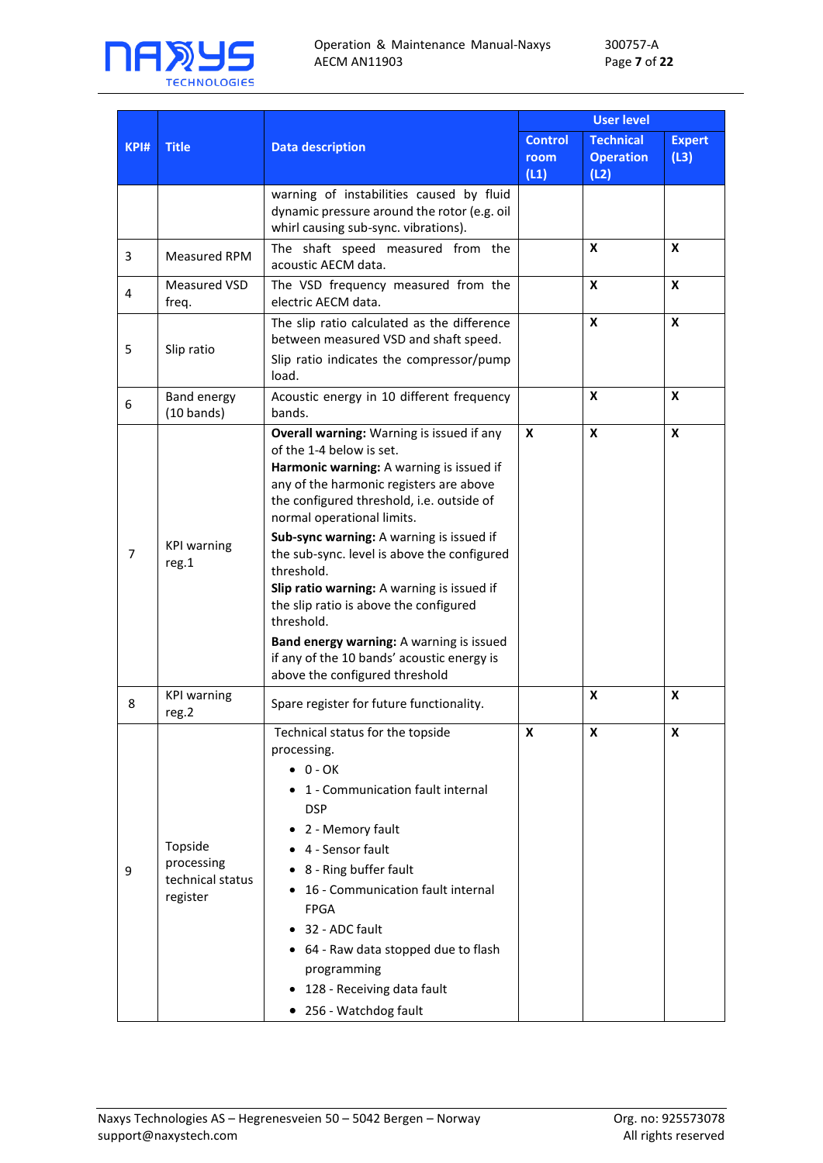

300757-A Page **7** of **22**

|                |                                                       |                                                                                                                                                                                                                                                                                                                                                                                                                                                                                                                                                                                    |                                | <b>User level</b>                            |                       |
|----------------|-------------------------------------------------------|------------------------------------------------------------------------------------------------------------------------------------------------------------------------------------------------------------------------------------------------------------------------------------------------------------------------------------------------------------------------------------------------------------------------------------------------------------------------------------------------------------------------------------------------------------------------------------|--------------------------------|----------------------------------------------|-----------------------|
| <b>KPI#</b>    | <b>Title</b>                                          | <b>Data description</b>                                                                                                                                                                                                                                                                                                                                                                                                                                                                                                                                                            | <b>Control</b><br>room<br>(L1) | <b>Technical</b><br><b>Operation</b><br>(L2) | <b>Expert</b><br>(L3) |
|                |                                                       | warning of instabilities caused by fluid<br>dynamic pressure around the rotor (e.g. oil<br>whirl causing sub-sync. vibrations).                                                                                                                                                                                                                                                                                                                                                                                                                                                    |                                |                                              |                       |
| 3              | <b>Measured RPM</b>                                   | The shaft speed measured from the<br>acoustic AECM data.                                                                                                                                                                                                                                                                                                                                                                                                                                                                                                                           |                                | X                                            | X                     |
| 4              | Measured VSD<br>freq.                                 | The VSD frequency measured from the<br>electric AECM data.                                                                                                                                                                                                                                                                                                                                                                                                                                                                                                                         |                                | X                                            | X                     |
| 5              | Slip ratio                                            | The slip ratio calculated as the difference<br>between measured VSD and shaft speed.<br>Slip ratio indicates the compressor/pump<br>load.                                                                                                                                                                                                                                                                                                                                                                                                                                          |                                | X                                            | X                     |
| 6              | <b>Band energy</b><br>$(10 \text{ bands})$            | Acoustic energy in 10 different frequency<br>bands.                                                                                                                                                                                                                                                                                                                                                                                                                                                                                                                                |                                | X                                            | X                     |
| $\overline{7}$ | <b>KPI warning</b><br>reg.1                           | Overall warning: Warning is issued if any<br>of the 1-4 below is set.<br>Harmonic warning: A warning is issued if<br>any of the harmonic registers are above<br>the configured threshold, i.e. outside of<br>normal operational limits.<br>Sub-sync warning: A warning is issued if<br>the sub-sync. level is above the configured<br>threshold.<br>Slip ratio warning: A warning is issued if<br>the slip ratio is above the configured<br>threshold.<br>Band energy warning: A warning is issued<br>if any of the 10 bands' acoustic energy is<br>above the configured threshold | X                              | X                                            | X                     |
| 8              | <b>KPI warning</b><br>reg.2                           | Spare register for future functionality.                                                                                                                                                                                                                                                                                                                                                                                                                                                                                                                                           |                                | X                                            | X                     |
| 9              | Topside<br>processing<br>technical status<br>register | Technical status for the topside<br>processing.<br>$\bullet$ 0 - OK<br>• 1 - Communication fault internal<br><b>DSP</b><br>2 - Memory fault<br>4 - Sensor fault<br>8 - Ring buffer fault<br>• 16 - Communication fault internal<br><b>FPGA</b><br>32 - ADC fault<br>• 64 - Raw data stopped due to flash<br>programming<br>128 - Receiving data fault<br>• 256 - Watchdog fault                                                                                                                                                                                                    |                                | X                                            | X                     |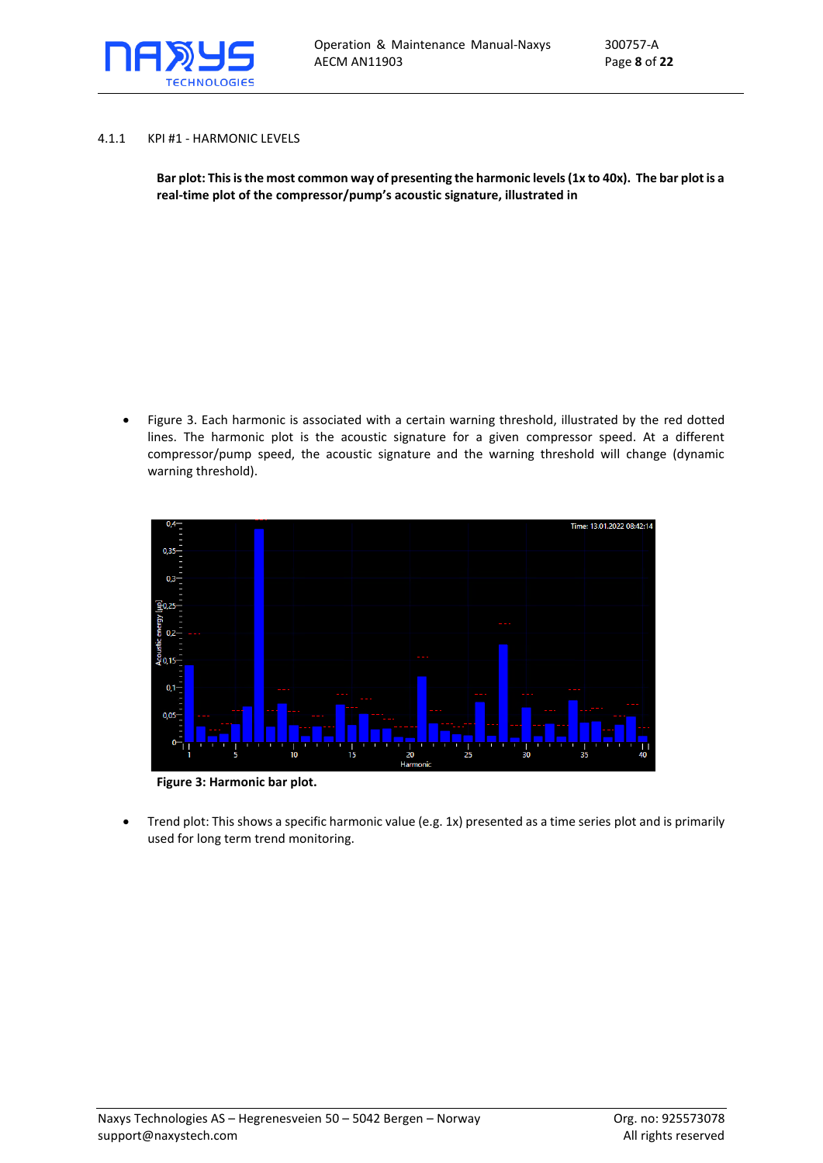

#### <span id="page-7-0"></span>4.1.1 KPI #1 - HARMONIC LEVELS

**Bar plot: This is the most common way of presenting the harmonic levels (1x to 40x). The bar plot is a real-time plot of the compressor/pump's acoustic signature, illustrated i[n](#page-7-1)** 

• [Figure 3.](#page-7-1) Each harmonic is associated with a certain warning threshold, illustrated by the red dotted lines. The harmonic plot is the acoustic signature for a given compressor speed. At a different compressor/pump speed, the acoustic signature and the warning threshold will change (dynamic warning threshold).

<span id="page-7-1"></span>

**Figure 3: Harmonic bar plot.** 

• Trend plot: This shows a specific harmonic value (e.g. 1x) presented as a time series plot and is primarily used for long term trend monitoring.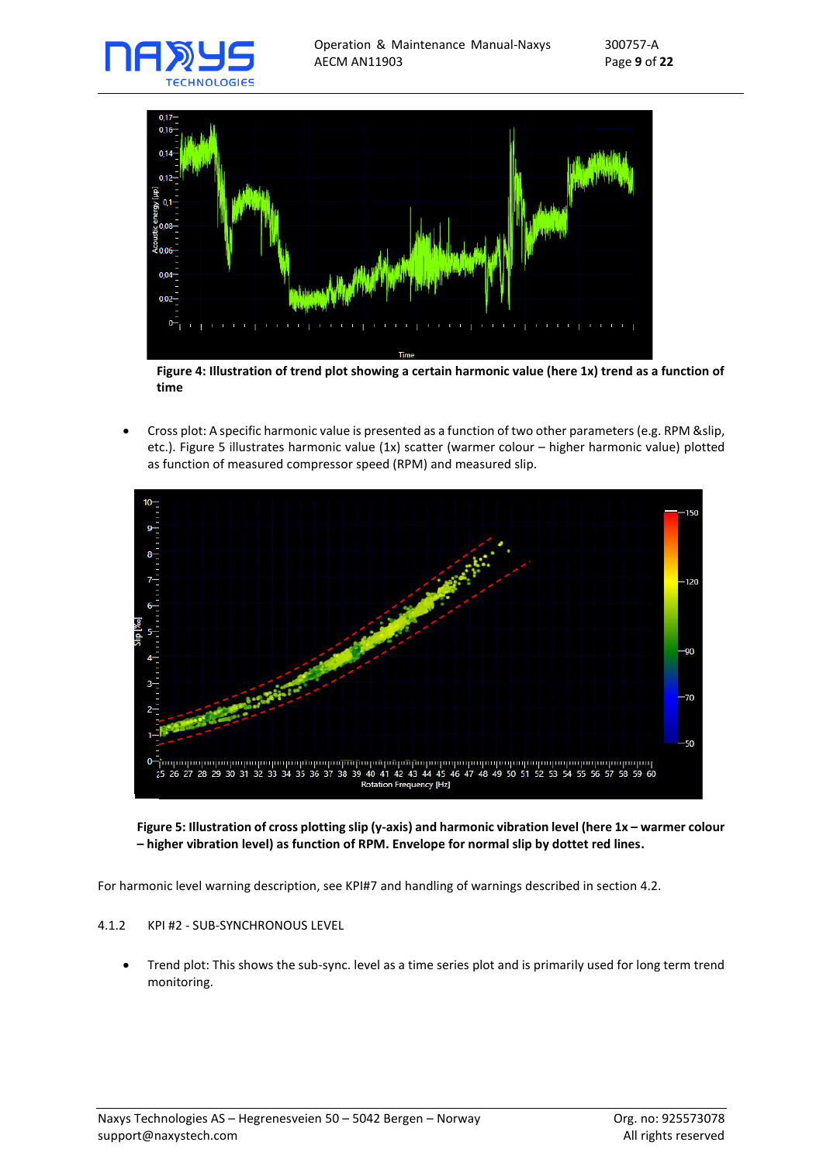



**Figure 4: Illustration of trend plot showing a certain harmonic value (here 1x) trend as a function of time**

• Cross plot: A specific harmonic value is presented as a function of two other parameters (e.g. RPM &slip, etc.). [Figure 5](#page-8-1) illustrates harmonic value (1x) scatter (warmer colour – higher harmonic value) plotted as function of measured compressor speed (RPM) and measured slip.



#### <span id="page-8-1"></span>**Figure 5: Illustration of cross plotting slip (y-axis) and harmonic vibration level (here 1x – warmer colour – higher vibration level) as function of RPM. Envelope for normal slip by dottet red lines.**

For harmonic level warning description, see KPI#7 and handling of warnings described in section [4.2.](#page-12-0)

#### <span id="page-8-0"></span>4.1.2 KPI #2 - SUB-SYNCHRONOUS LEVEL

• Trend plot: This shows the sub-sync. level as a time series plot and is primarily used for long term trend monitoring.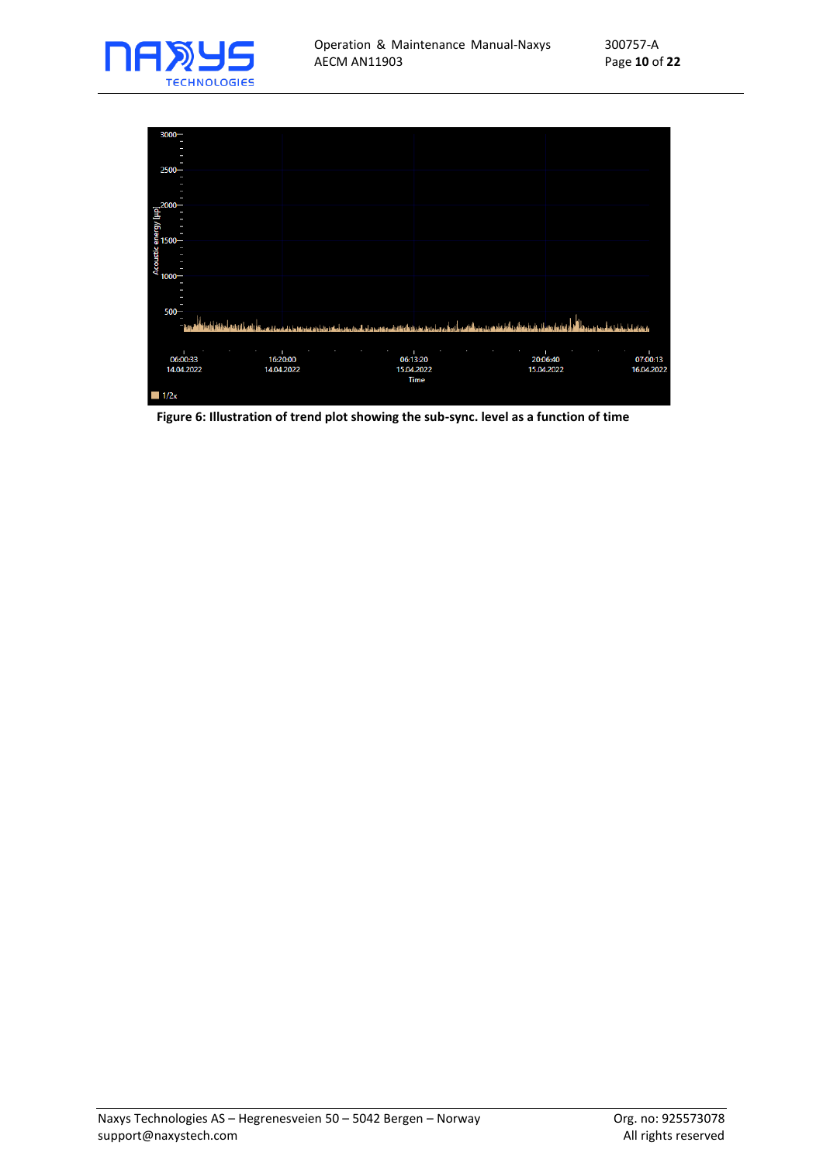



**Figure 6: Illustration of trend plot showing the sub-sync. level as a function of time**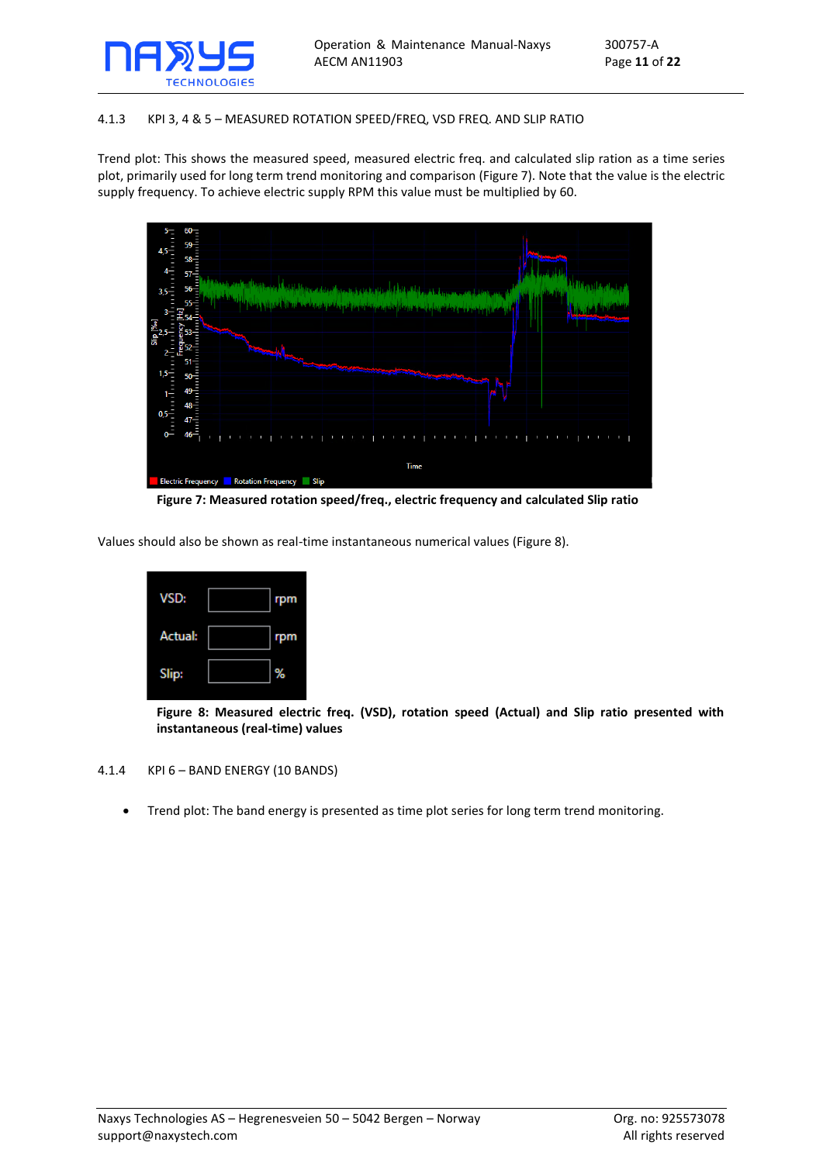

#### <span id="page-10-0"></span>4.1.3 KPI 3, 4 & 5 – MEASURED ROTATION SPEED/FREQ, VSD FREQ. AND SLIP RATIO

Trend plot: This shows the measured speed, measured electric freq. and calculated slip ration as a time series plot, primarily used for long term trend monitoring and comparison [\(Figure 7\)](#page-10-2). Note that the value is the electric supply frequency. To achieve electric supply RPM this value must be multiplied by 60.



**Figure 7: Measured rotation speed/freq., electric frequency and calculated Slip ratio**

<span id="page-10-2"></span>Values should also be shown as real-time instantaneous numerical values [\(Figure 8\)](#page-10-3).



**Figure 8: Measured electric freq. (VSD), rotation speed (Actual) and Slip ratio presented with instantaneous (real-time) values** 

#### <span id="page-10-3"></span><span id="page-10-1"></span>4.1.4 KPI 6 – BAND ENERGY (10 BANDS)

• Trend plot: The band energy is presented as time plot series for long term trend monitoring.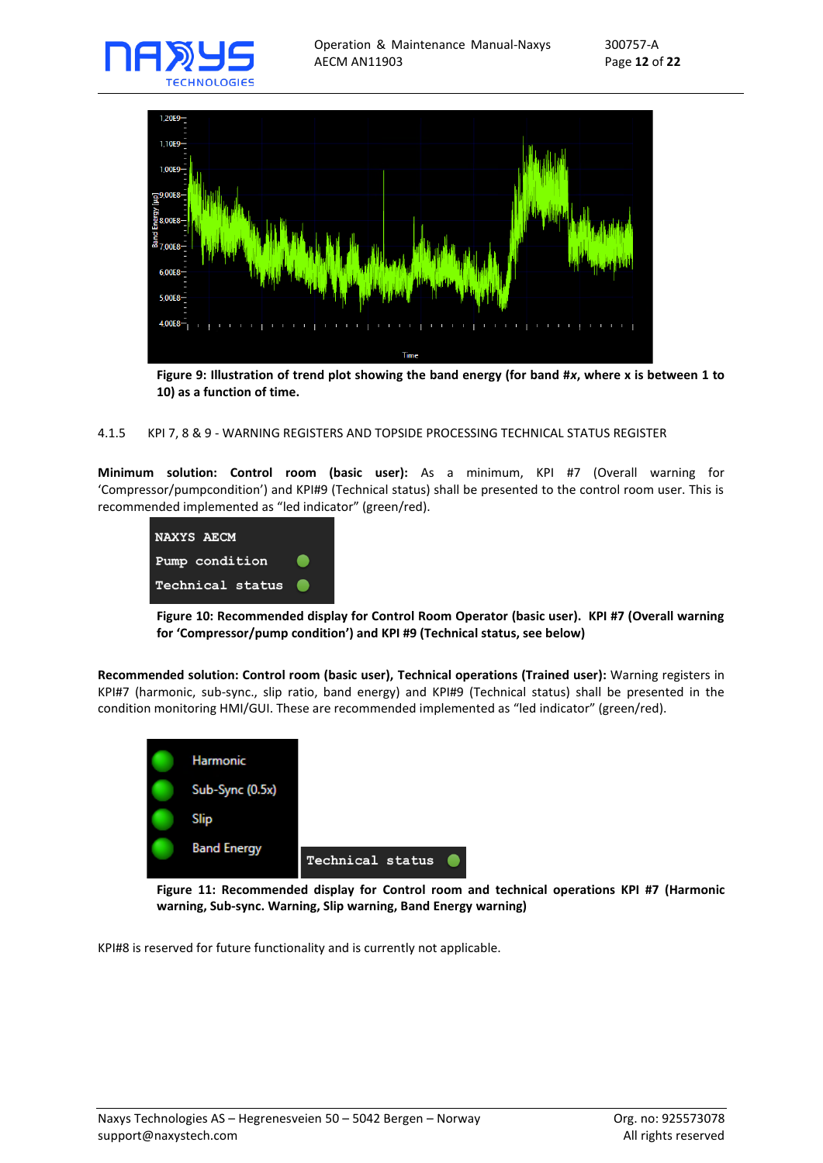



**Figure 9: Illustration of trend plot showing the band energy (for band #***x***, where x is between 1 to 10) as a function of time.** 

#### <span id="page-11-0"></span>4.1.5 KPI 7, 8 & 9 - WARNING REGISTERS AND TOPSIDE PROCESSING TECHNICAL STATUS REGISTER

**Minimum solution: Control room (basic user):** As a minimum, KPI #7 (Overall warning for 'Compressor/pumpcondition') and KPI#9 (Technical status) shall be presented to the control room user. This is recommended implemented as "led indicator" (green/red).



**Figure 10: Recommended display for Control Room Operator (basic user). KPI #7 (Overall warning for 'Compressor/pump condition') and KPI #9 (Technical status, see below)**

**Recommended solution: Control room (basic user), Technical operations (Trained user):** Warning registers in KPI#7 (harmonic, sub-sync., slip ratio, band energy) and KPI#9 (Technical status) shall be presented in the condition monitoring HMI/GUI. These are recommended implemented as "led indicator" (green/red).



**Figure 11: Recommended display for Control room and technical operations KPI #7 (Harmonic warning, Sub-sync. Warning, Slip warning, Band Energy warning)** 

KPI#8 is reserved for future functionality and is currently not applicable.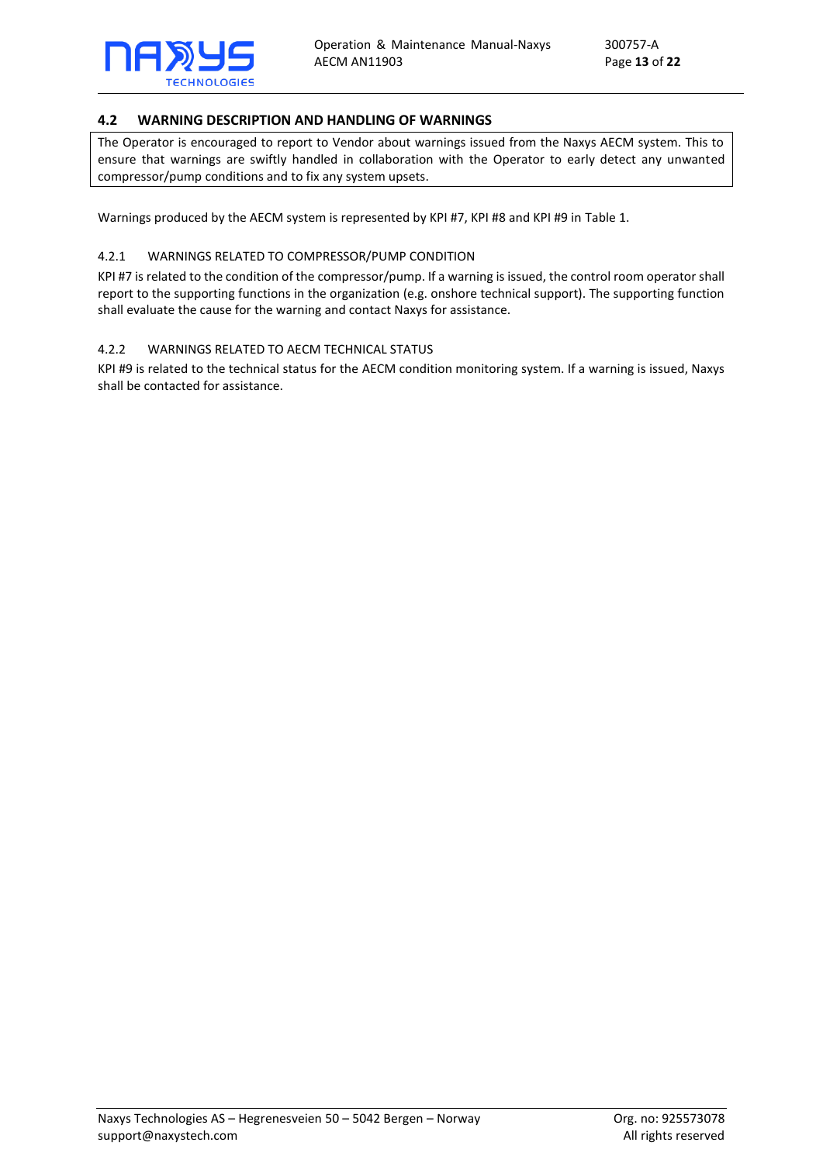

## <span id="page-12-0"></span>**4.2 WARNING DESCRIPTION AND HANDLING OF WARNINGS**

The Operator is encouraged to report to Vendor about warnings issued from the Naxys AECM system. This to ensure that warnings are swiftly handled in collaboration with the Operator to early detect any unwanted compressor/pump conditions and to fix any system upsets.

Warnings produced by the AECM system is represented by KPI #7, KPI #8 and KPI #9 in [Table 1.](#page-5-2)

#### <span id="page-12-1"></span>4.2.1 WARNINGS RELATED TO COMPRESSOR/PUMP CONDITION

KPI #7 is related to the condition of the compressor/pump. If a warning is issued, the control room operator shall report to the supporting functions in the organization (e.g. onshore technical support). The supporting function shall evaluate the cause for the warning and contact Naxys for assistance.

#### <span id="page-12-2"></span>4.2.2 WARNINGS RELATED TO AECM TECHNICAL STATUS

KPI #9 is related to the technical status for the AECM condition monitoring system. If a warning is issued, Naxys shall be contacted for assistance.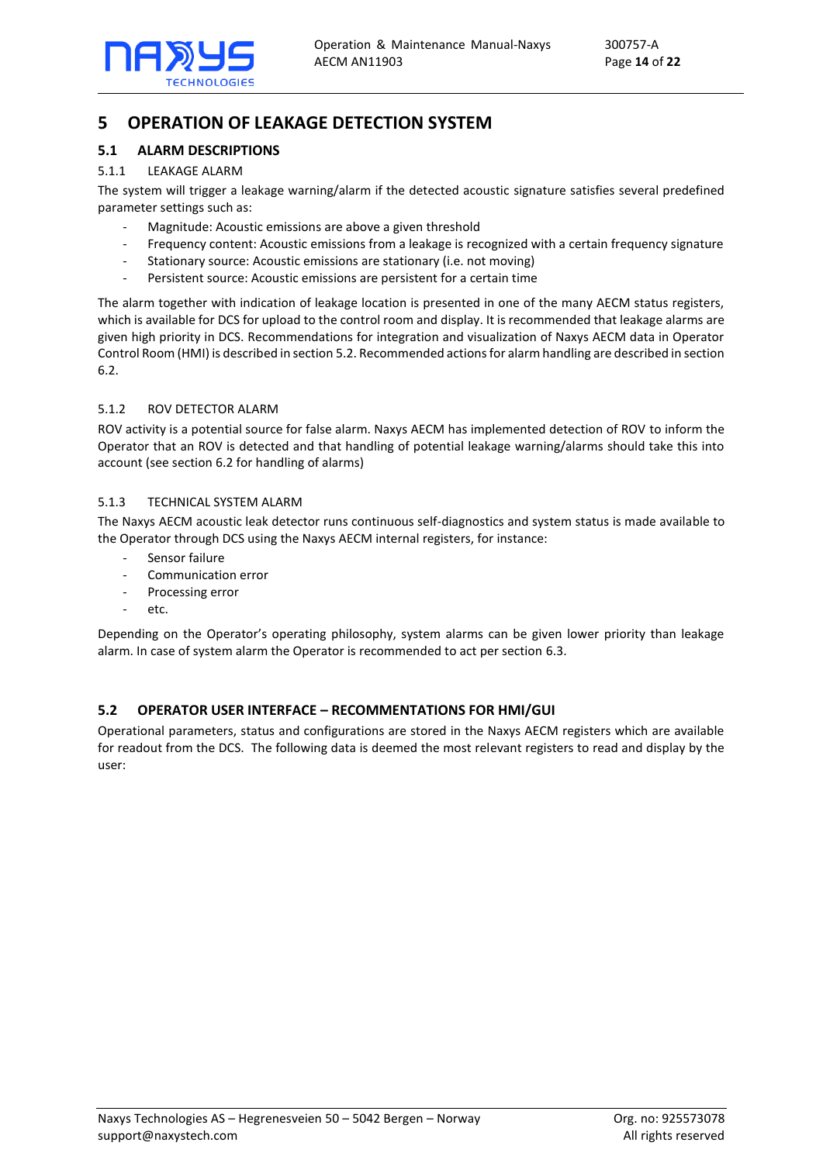

# <span id="page-13-0"></span>**5 OPERATION OF LEAKAGE DETECTION SYSTEM**

## <span id="page-13-1"></span>**5.1 ALARM DESCRIPTIONS**

## <span id="page-13-2"></span>5.1.1 LEAKAGE ALARM

The system will trigger a leakage warning/alarm if the detected acoustic signature satisfies several predefined parameter settings such as:

- Magnitude: Acoustic emissions are above a given threshold
- Frequency content: Acoustic emissions from a leakage is recognized with a certain frequency signature
- Stationary source: Acoustic emissions are stationary (i.e. not moving)
- Persistent source: Acoustic emissions are persistent for a certain time

The alarm together with indication of leakage location is presented in one of the many AECM status registers, which is available for DCS for upload to the control room and display. It is recommended that leakage alarms are given high priority in DCS. Recommendations for integration and visualization of Naxys AECM data in Operator Control Room (HMI) is described in sectio[n 5.2.](#page-13-5) Recommended actions for alarm handling are described in section [6.2.](#page-16-2) 

## <span id="page-13-3"></span>5.1.2 ROV DETECTOR ALARM

ROV activity is a potential source for false alarm. Naxys AECM has implemented detection of ROV to inform the Operator that an ROV is detected and that handling of potential leakage warning/alarms should take this into account (see section [6.2](#page-16-2) for handling of alarms)

## <span id="page-13-4"></span>5.1.3 TECHNICAL SYSTEM ALARM

The Naxys AECM acoustic leak detector runs continuous self-diagnostics and system status is made available to the Operator through DCS using the Naxys AECM internal registers, for instance:

- Sensor failure
- Communication error
- Processing error
- etc.

Depending on the Operator's operating philosophy, system alarms can be given lower priority than leakage alarm. In case of system alarm the Operator is recommended to act per section [6.3.](#page-17-0)

## <span id="page-13-5"></span>**5.2 OPERATOR USER INTERFACE – RECOMMENTATIONS FOR HMI/GUI**

Operational parameters, status and configurations are stored in the Naxys AECM registers which are available for readout from the DCS. The following data is deemed the most relevant registers to read and display by the user: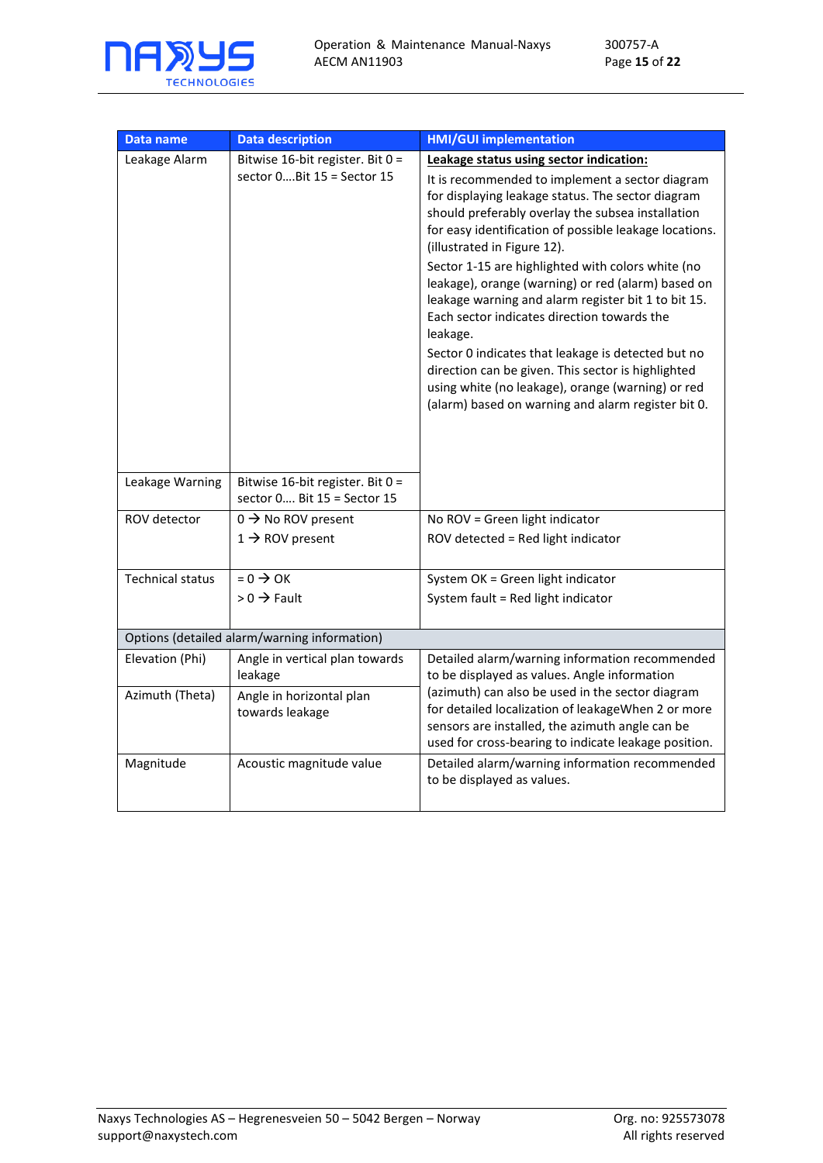

| Data name               | <b>Data description</b>                                         | <b>HMI/GUI implementation</b>                                                                                                                                                                                                                                                                                                                                                                                                                                                   |
|-------------------------|-----------------------------------------------------------------|---------------------------------------------------------------------------------------------------------------------------------------------------------------------------------------------------------------------------------------------------------------------------------------------------------------------------------------------------------------------------------------------------------------------------------------------------------------------------------|
| Leakage Alarm           | Bitwise 16-bit register. Bit 0 =                                | Leakage status using sector indication:                                                                                                                                                                                                                                                                                                                                                                                                                                         |
|                         | sector 0 Bit 15 = Sector 15                                     | It is recommended to implement a sector diagram<br>for displaying leakage status. The sector diagram<br>should preferably overlay the subsea installation<br>for easy identification of possible leakage locations.<br>(illustrated in Figure 12).<br>Sector 1-15 are highlighted with colors white (no<br>leakage), orange (warning) or red (alarm) based on<br>leakage warning and alarm register bit 1 to bit 15.<br>Each sector indicates direction towards the<br>leakage. |
|                         |                                                                 | Sector 0 indicates that leakage is detected but no<br>direction can be given. This sector is highlighted<br>using white (no leakage), orange (warning) or red<br>(alarm) based on warning and alarm register bit 0.                                                                                                                                                                                                                                                             |
| Leakage Warning         | Bitwise 16-bit register. Bit 0 =<br>sector 0 Bit 15 = Sector 15 |                                                                                                                                                                                                                                                                                                                                                                                                                                                                                 |
| ROV detector            | $0 \rightarrow$ No ROV present                                  | No ROV = Green light indicator                                                                                                                                                                                                                                                                                                                                                                                                                                                  |
|                         | $1 \rightarrow$ ROV present                                     | ROV detected = Red light indicator                                                                                                                                                                                                                                                                                                                                                                                                                                              |
| <b>Technical status</b> | $= 0 \rightarrow OK$                                            | System OK = Green light indicator                                                                                                                                                                                                                                                                                                                                                                                                                                               |
|                         | $> 0 \rightarrow$ Fault                                         | System fault = Red light indicator                                                                                                                                                                                                                                                                                                                                                                                                                                              |
|                         | Options (detailed alarm/warning information)                    |                                                                                                                                                                                                                                                                                                                                                                                                                                                                                 |
| Elevation (Phi)         | Angle in vertical plan towards<br>leakage                       | Detailed alarm/warning information recommended<br>to be displayed as values. Angle information                                                                                                                                                                                                                                                                                                                                                                                  |
| Azimuth (Theta)         | Angle in horizontal plan<br>towards leakage                     | (azimuth) can also be used in the sector diagram<br>for detailed localization of leakageWhen 2 or more<br>sensors are installed, the azimuth angle can be<br>used for cross-bearing to indicate leakage position.                                                                                                                                                                                                                                                               |
| Magnitude               | Acoustic magnitude value                                        | Detailed alarm/warning information recommended<br>to be displayed as values.                                                                                                                                                                                                                                                                                                                                                                                                    |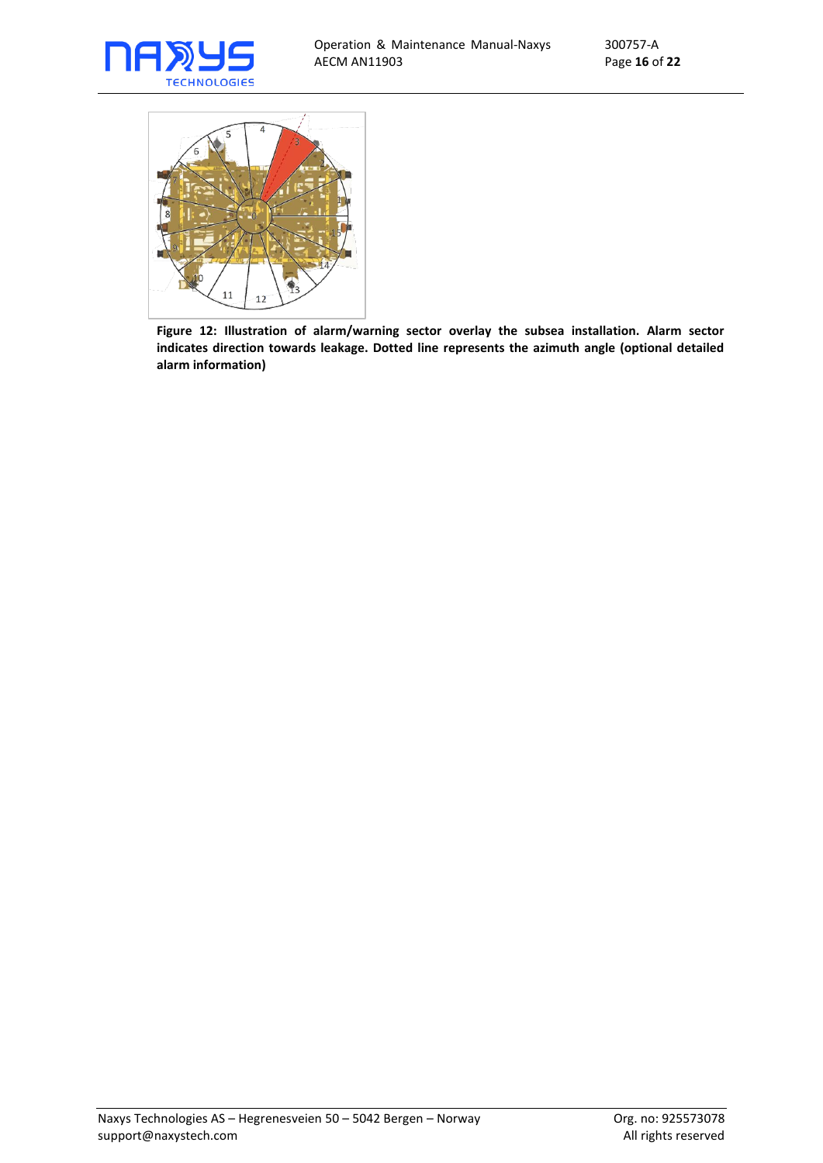



<span id="page-15-0"></span>**Figure 12: Illustration of alarm/warning sector overlay the subsea installation. Alarm sector indicates direction towards leakage. Dotted line represents the azimuth angle (optional detailed alarm information)**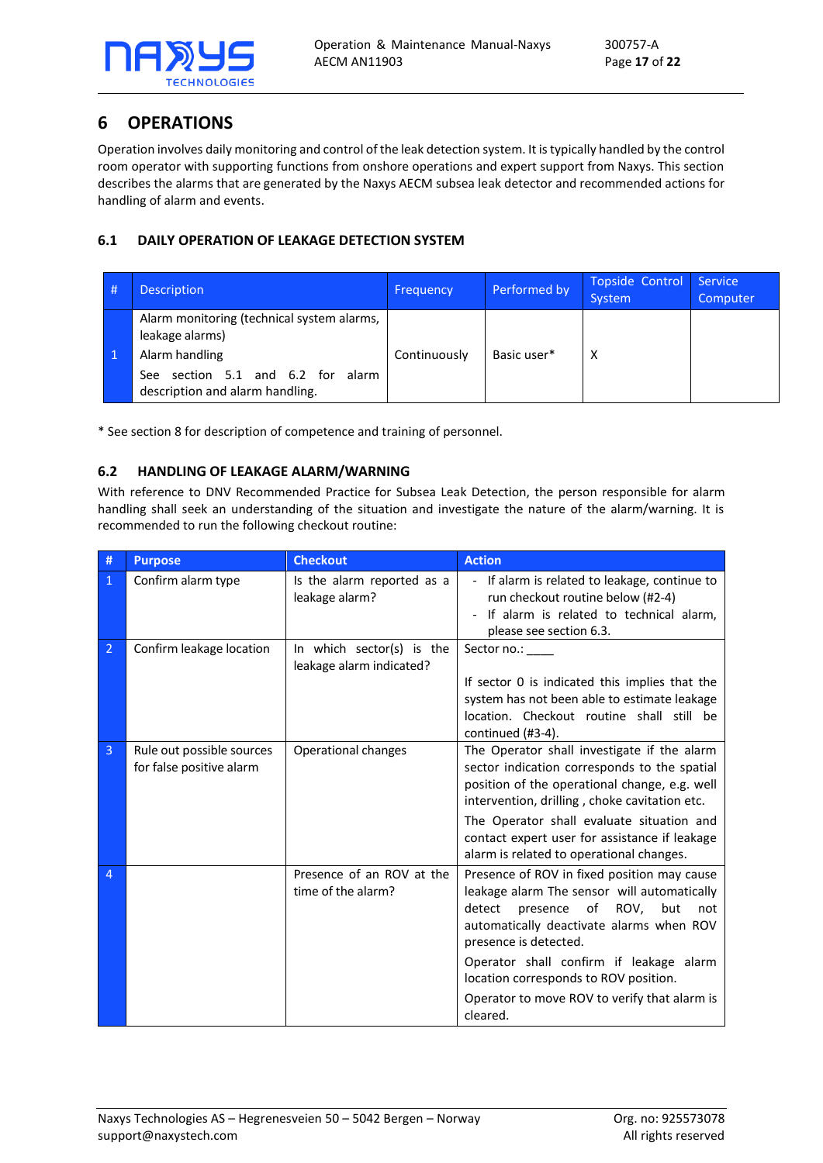

# <span id="page-16-0"></span>**6 OPERATIONS**

Operation involves daily monitoring and control of the leak detection system. It is typically handled by the control room operator with supporting functions from onshore operations and expert support from Naxys. This section describes the alarms that are generated by the Naxys AECM subsea leak detector and recommended actions for handling of alarm and events.

## <span id="page-16-1"></span>**6.1 DAILY OPERATION OF LEAKAGE DETECTION SYSTEM**

|  | <b>Description</b>                                                                                                                                             | <b>Frequency</b> | Performed by | Topside Control<br>System | Service<br>Computer |
|--|----------------------------------------------------------------------------------------------------------------------------------------------------------------|------------------|--------------|---------------------------|---------------------|
|  | Alarm monitoring (technical system alarms,<br>leakage alarms)<br>Alarm handling<br>section 5.1 and 6.2 for<br>alarm<br>See:<br>description and alarm handling. | Continuously     | Basic user*  | х                         |                     |

\* See sectio[n 8](#page-20-0) for description of competence and training of personnel.

## <span id="page-16-2"></span>**6.2 HANDLING OF LEAKAGE ALARM/WARNING**

With reference to DNV Recommended Practice for Subsea Leak Detection, the person responsible for alarm handling shall seek an understanding of the situation and investigate the nature of the alarm/warning. It is recommended to run the following checkout routine:

| #              | <b>Purpose</b>                                        | <b>Checkout</b>                                       | <b>Action</b>                                                                                                                                                                                                                                                                                                                                                     |
|----------------|-------------------------------------------------------|-------------------------------------------------------|-------------------------------------------------------------------------------------------------------------------------------------------------------------------------------------------------------------------------------------------------------------------------------------------------------------------------------------------------------------------|
| 1              | Confirm alarm type                                    | Is the alarm reported as a<br>leakage alarm?          | - If alarm is related to leakage, continue to<br>run checkout routine below (#2-4)<br>If alarm is related to technical alarm,<br>please see section 6.3.                                                                                                                                                                                                          |
| 2              | Confirm leakage location                              | In which sector(s) is the<br>leakage alarm indicated? | Sector no.:<br>If sector 0 is indicated this implies that the<br>system has not been able to estimate leakage<br>location. Checkout routine shall still be<br>continued (#3-4).                                                                                                                                                                                   |
| $\overline{3}$ | Rule out possible sources<br>for false positive alarm | Operational changes                                   | The Operator shall investigate if the alarm<br>sector indication corresponds to the spatial<br>position of the operational change, e.g. well<br>intervention, drilling, choke cavitation etc.<br>The Operator shall evaluate situation and<br>contact expert user for assistance if leakage<br>alarm is related to operational changes.                           |
| 4              |                                                       | Presence of an ROV at the<br>time of the alarm?       | Presence of ROV in fixed position may cause<br>leakage alarm The sensor will automatically<br>presence<br>of<br>ROV,<br>but<br>detect<br>not<br>automatically deactivate alarms when ROV<br>presence is detected.<br>Operator shall confirm if leakage alarm<br>location corresponds to ROV position.<br>Operator to move ROV to verify that alarm is<br>cleared. |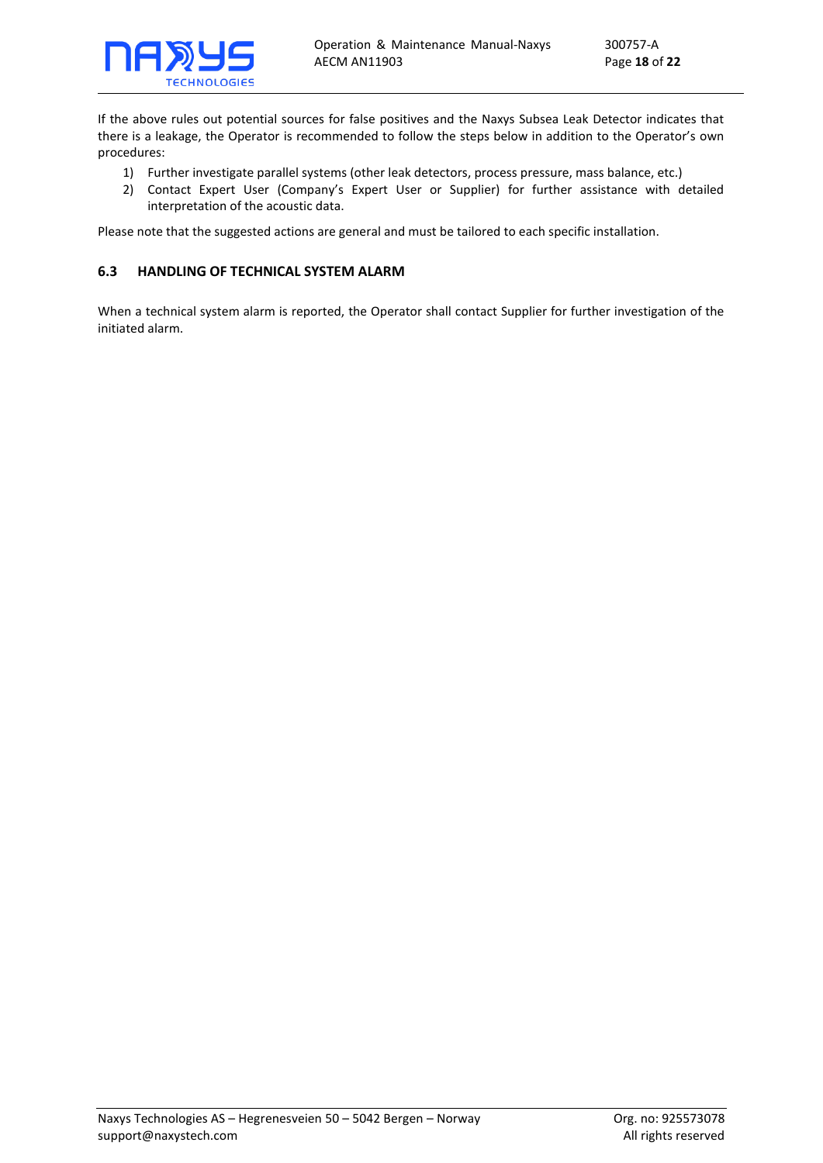

If the above rules out potential sources for false positives and the Naxys Subsea Leak Detector indicates that there is a leakage, the Operator is recommended to follow the steps below in addition to the Operator's own procedures:

- 1) Further investigate parallel systems (other leak detectors, process pressure, mass balance, etc.)
- 2) Contact Expert User (Company's Expert User or Supplier) for further assistance with detailed interpretation of the acoustic data.

Please note that the suggested actions are general and must be tailored to each specific installation.

## <span id="page-17-0"></span>**6.3 HANDLING OF TECHNICAL SYSTEM ALARM**

When a technical system alarm is reported, the Operator shall contact Supplier for further investigation of the initiated alarm.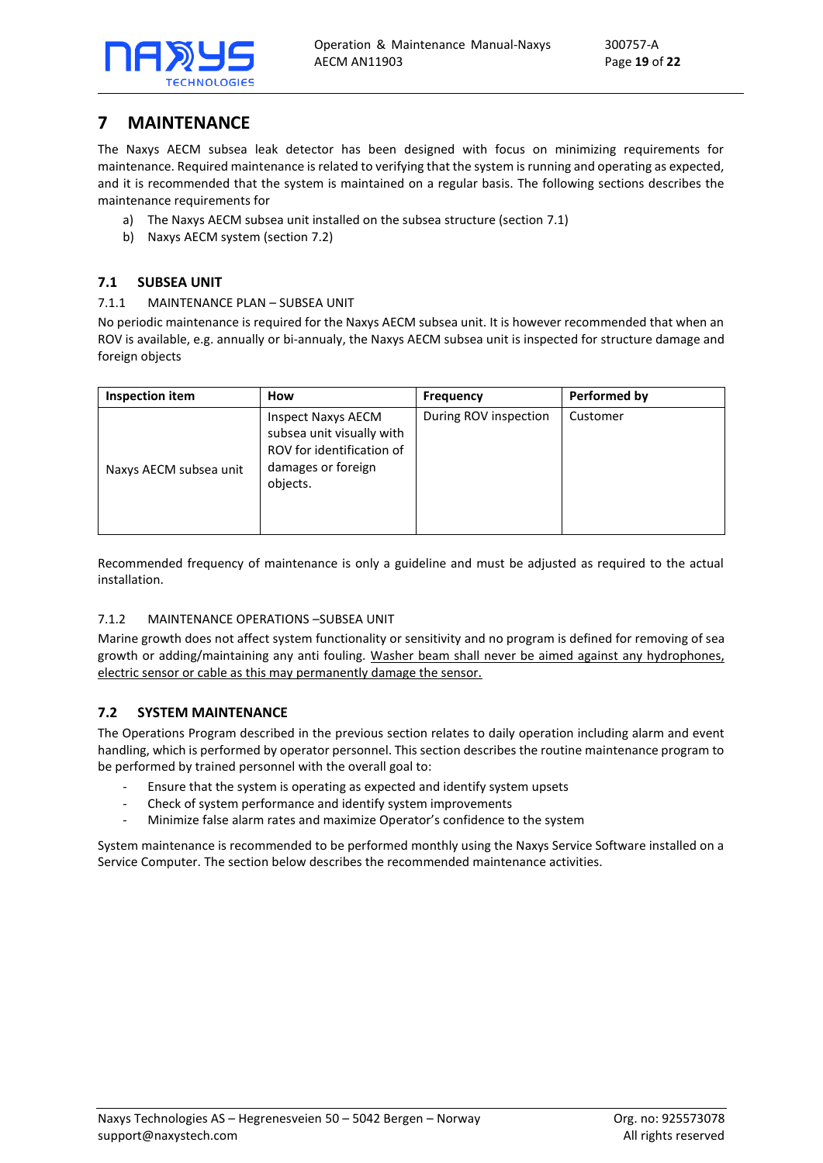

# <span id="page-18-0"></span>**7 MAINTENANCE**

The Naxys AECM subsea leak detector has been designed with focus on minimizing requirements for maintenance. Required maintenance is related to verifying that the system is running and operating as expected, and it is recommended that the system is maintained on a regular basis. The following sections describes the maintenance requirements for

- a) The Naxys AECM subsea unit installed on the subsea structure (section [7.1\)](#page-18-1)
- b) Naxys AECM system (section [7.2\)](#page-18-4)

## <span id="page-18-1"></span>**7.1 SUBSEA UNIT**

## <span id="page-18-2"></span>7.1.1 MAINTENANCE PLAN – SUBSEA UNIT

No periodic maintenance is required for the Naxys AECM subsea unit. It is however recommended that when an ROV is available, e.g. annually or bi-annualy, the Naxys AECM subsea unit is inspected for structure damage and foreign objects

| Inspection item        | How                                                                                                                   | <b>Frequency</b>      | Performed by |
|------------------------|-----------------------------------------------------------------------------------------------------------------------|-----------------------|--------------|
| Naxys AECM subsea unit | <b>Inspect Naxys AECM</b><br>subsea unit visually with<br>ROV for identification of<br>damages or foreign<br>objects. | During ROV inspection | Customer     |

Recommended frequency of maintenance is only a guideline and must be adjusted as required to the actual installation.

## <span id="page-18-3"></span>7.1.2 MAINTENANCE OPERATIONS –SUBSEA UNIT

Marine growth does not affect system functionality or sensitivity and no program is defined for removing of sea growth or adding/maintaining any anti fouling. Washer beam shall never be aimed against any hydrophones, electric sensor or cable as this may permanently damage the sensor.

## <span id="page-18-4"></span>**7.2 SYSTEM MAINTENANCE**

The Operations Program described in the previous section relates to daily operation including alarm and event handling, which is performed by operator personnel. This section describes the routine maintenance program to be performed by trained personnel with the overall goal to:

- Ensure that the system is operating as expected and identify system upsets
- Check of system performance and identify system improvements
- Minimize false alarm rates and maximize Operator's confidence to the system

System maintenance is recommended to be performed monthly using the Naxys Service Software installed on a Service Computer. The section below describes the recommended maintenance activities.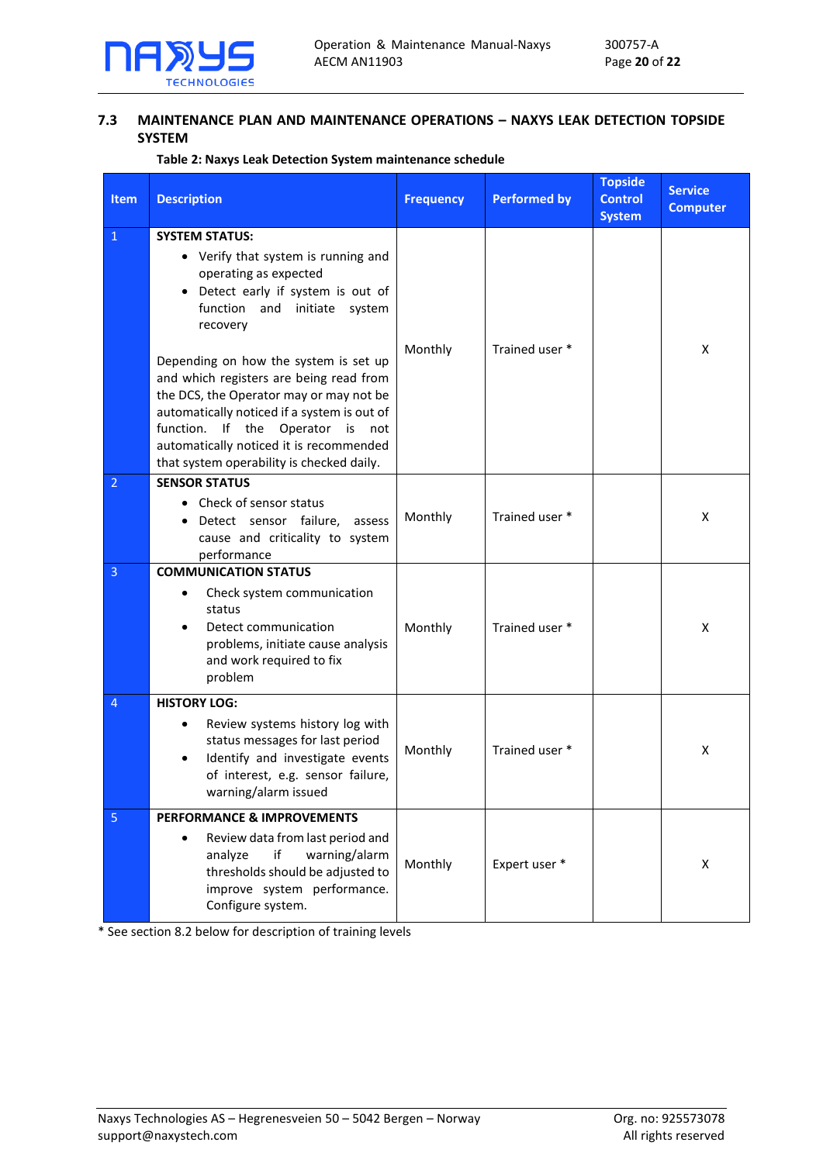

## <span id="page-19-0"></span>**7.3 MAINTENANCE PLAN AND MAINTENANCE OPERATIONS – NAXYS LEAK DETECTION TOPSIDE SYSTEM**

## **Table 2: Naxys Leak Detection System maintenance schedule**

| <b>Item</b>    | <b>Description</b>                                                                                                                                                                                                                                                                                                                                                                                                                                                                                 | <b>Frequency</b> | <b>Performed by</b> | <b>Topside</b><br><b>Control</b><br><b>System</b> | <b>Service</b><br><b>Computer</b> |
|----------------|----------------------------------------------------------------------------------------------------------------------------------------------------------------------------------------------------------------------------------------------------------------------------------------------------------------------------------------------------------------------------------------------------------------------------------------------------------------------------------------------------|------------------|---------------------|---------------------------------------------------|-----------------------------------|
| $\mathbf{1}$   | <b>SYSTEM STATUS:</b><br>• Verify that system is running and<br>operating as expected<br>Detect early if system is out of<br>$\bullet$<br>function and<br>initiate<br>system<br>recovery<br>Depending on how the system is set up<br>and which registers are being read from<br>the DCS, the Operator may or may not be<br>automatically noticed if a system is out of<br>function. If the Operator is not<br>automatically noticed it is recommended<br>that system operability is checked daily. | Monthly          | Trained user *      |                                                   | X                                 |
| $\overline{2}$ | <b>SENSOR STATUS</b><br>• Check of sensor status<br>Detect sensor failure, assess<br>$\bullet$<br>cause and criticality to system<br>performance                                                                                                                                                                                                                                                                                                                                                   | Monthly          | Trained user *      |                                                   | X                                 |
| $\overline{3}$ | <b>COMMUNICATION STATUS</b><br>Check system communication<br>$\bullet$<br>status<br>Detect communication<br>$\bullet$<br>problems, initiate cause analysis<br>and work required to fix<br>problem                                                                                                                                                                                                                                                                                                  | Monthly          | Trained user *      |                                                   | x                                 |
| 4              | <b>HISTORY LOG:</b><br>Review systems history log with<br>٠<br>status messages for last period<br>Identify and investigate events<br>$\bullet$<br>of interest, e.g. sensor failure,<br>warning/alarm issued                                                                                                                                                                                                                                                                                        | Monthly          | Trained user *      |                                                   | X                                 |
| $\overline{5}$ | <b>PERFORMANCE &amp; IMPROVEMENTS</b><br>Review data from last period and<br>$\bullet$<br>warning/alarm<br>analyze<br>if<br>thresholds should be adjusted to<br>improve system performance.<br>Configure system.                                                                                                                                                                                                                                                                                   | Monthly          | Expert user *       |                                                   | X                                 |

\* See sectio[n 8.2](#page-20-2) below for description of training levels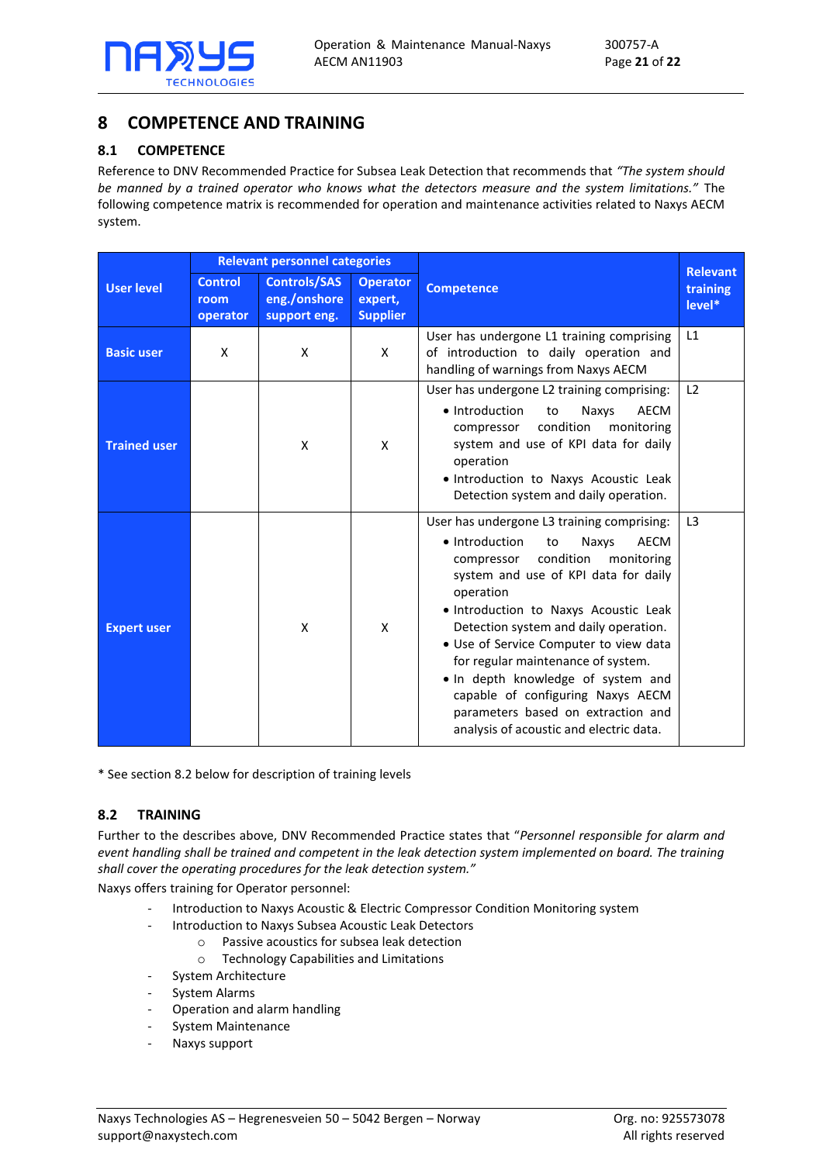

# <span id="page-20-0"></span>**8 COMPETENCE AND TRAINING**

## <span id="page-20-1"></span>**8.1 COMPETENCE**

Reference to DNV Recommended Practice for Subsea Leak Detection that recommends that *"The system should be manned by a trained operator who knows what the detectors measure and the system limitations."* The following competence matrix is recommended for operation and maintenance activities related to Naxys AECM system.

|                     | <b>Relevant personnel categories</b> |                                                     |                                               |                                                                                                                                                                                                                                                                                                                                                                                                                                                                                                                 | <b>Relevant</b>    |
|---------------------|--------------------------------------|-----------------------------------------------------|-----------------------------------------------|-----------------------------------------------------------------------------------------------------------------------------------------------------------------------------------------------------------------------------------------------------------------------------------------------------------------------------------------------------------------------------------------------------------------------------------------------------------------------------------------------------------------|--------------------|
| <b>User level</b>   | <b>Control</b><br>room<br>operator   | <b>Controls/SAS</b><br>eng./onshore<br>support eng. | <b>Operator</b><br>expert,<br><b>Supplier</b> | <b>Competence</b>                                                                                                                                                                                                                                                                                                                                                                                                                                                                                               | training<br>level* |
| <b>Basic user</b>   | X                                    | X                                                   | X                                             | User has undergone L1 training comprising<br>of introduction to daily operation and<br>handling of warnings from Naxys AECM                                                                                                                                                                                                                                                                                                                                                                                     | L1                 |
| <b>Trained user</b> |                                      | X                                                   | X                                             | User has undergone L2 training comprising:<br>• Introduction<br>to<br>Naxys<br>AECM<br>condition<br>monitoring<br>compressor<br>system and use of KPI data for daily<br>operation<br>· Introduction to Naxys Acoustic Leak<br>Detection system and daily operation.                                                                                                                                                                                                                                             | L <sub>2</sub>     |
| <b>Expert user</b>  |                                      | X                                                   | X                                             | User has undergone L3 training comprising:<br>• Introduction<br>to<br>Naxys<br>AECM<br>condition<br>monitoring<br>compressor<br>system and use of KPI data for daily<br>operation<br>· Introduction to Naxys Acoustic Leak<br>Detection system and daily operation.<br>• Use of Service Computer to view data<br>for regular maintenance of system.<br>. In depth knowledge of system and<br>capable of configuring Naxys AECM<br>parameters based on extraction and<br>analysis of acoustic and electric data. | L <sub>3</sub>     |

\* See sectio[n 8.2](#page-20-2) below for description of training levels

## <span id="page-20-2"></span>**8.2 TRAINING**

Further to the describes above, DNV Recommended Practice states that "*Personnel responsible for alarm and event handling shall be trained and competent in the leak detection system implemented on board. The training shall cover the operating procedures for the leak detection system."*

Naxys offers training for Operator personnel:

- Introduction to Naxys Acoustic & Electric Compressor Condition Monitoring system
- Introduction to Naxys Subsea Acoustic Leak Detectors
	- o Passive acoustics for subsea leak detection
	- o Technology Capabilities and Limitations
- System Architecture
- System Alarms
- Operation and alarm handling
- System Maintenance
- Naxys support